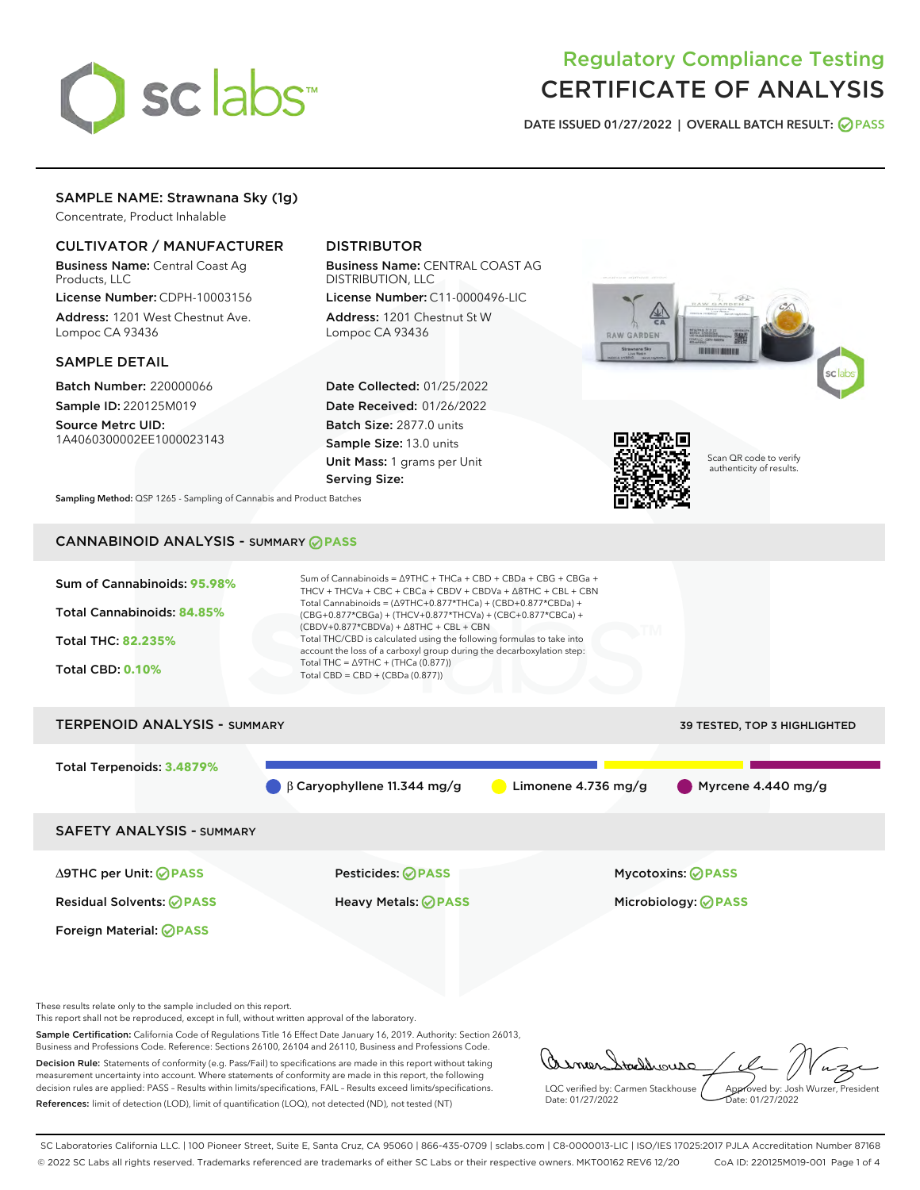# sclabs<sup>\*</sup>

# Regulatory Compliance Testing CERTIFICATE OF ANALYSIS

DATE ISSUED 01/27/2022 | OVERALL BATCH RESULT: @ PASS

# SAMPLE NAME: Strawnana Sky (1g)

Concentrate, Product Inhalable

# CULTIVATOR / MANUFACTURER

Business Name: Central Coast Ag Products, LLC

License Number: CDPH-10003156 Address: 1201 West Chestnut Ave. Lompoc CA 93436

# SAMPLE DETAIL

Batch Number: 220000066 Sample ID: 220125M019

Source Metrc UID: 1A4060300002EE1000023143

# DISTRIBUTOR

Business Name: CENTRAL COAST AG DISTRIBUTION, LLC License Number: C11-0000496-LIC

Address: 1201 Chestnut St W Lompoc CA 93436

Date Collected: 01/25/2022 Date Received: 01/26/2022 Batch Size: 2877.0 units Sample Size: 13.0 units Unit Mass: 1 grams per Unit Serving Size:





Scan QR code to verify authenticity of results.

Sampling Method: QSP 1265 - Sampling of Cannabis and Product Batches

# CANNABINOID ANALYSIS - SUMMARY **PASS**



 $\beta$  β Caryophyllene 11.344 mg/g  $\qquad \qquad$  Limonene 4.736 mg/g  $\qquad \qquad \qquad$  Myrcene 4.440 mg/g

SAFETY ANALYSIS - SUMMARY

∆9THC per Unit: **PASS** Pesticides: **PASS** Mycotoxins: **PASS**

Foreign Material: **PASS**

Residual Solvents: **PASS** Heavy Metals: **PASS** Microbiology: **PASS**

These results relate only to the sample included on this report.

This report shall not be reproduced, except in full, without written approval of the laboratory.

Sample Certification: California Code of Regulations Title 16 Effect Date January 16, 2019. Authority: Section 26013, Business and Professions Code. Reference: Sections 26100, 26104 and 26110, Business and Professions Code. Decision Rule: Statements of conformity (e.g. Pass/Fail) to specifications are made in this report without taking

measurement uncertainty into account. Where statements of conformity are made in this report, the following decision rules are applied: PASS – Results within limits/specifications, FAIL – Results exceed limits/specifications. References: limit of detection (LOD), limit of quantification (LOQ), not detected (ND), not tested (NT)

tachbourg LQC verified by: Carmen Stackhouse Approved by: Josh Wurzer, President Date: 01/27/2022 Pate: 01/27/2022

SC Laboratories California LLC. | 100 Pioneer Street, Suite E, Santa Cruz, CA 95060 | 866-435-0709 | sclabs.com | C8-0000013-LIC | ISO/IES 17025:2017 PJLA Accreditation Number 87168 © 2022 SC Labs all rights reserved. Trademarks referenced are trademarks of either SC Labs or their respective owners. MKT00162 REV6 12/20 CoA ID: 220125M019-001 Page 1 of 4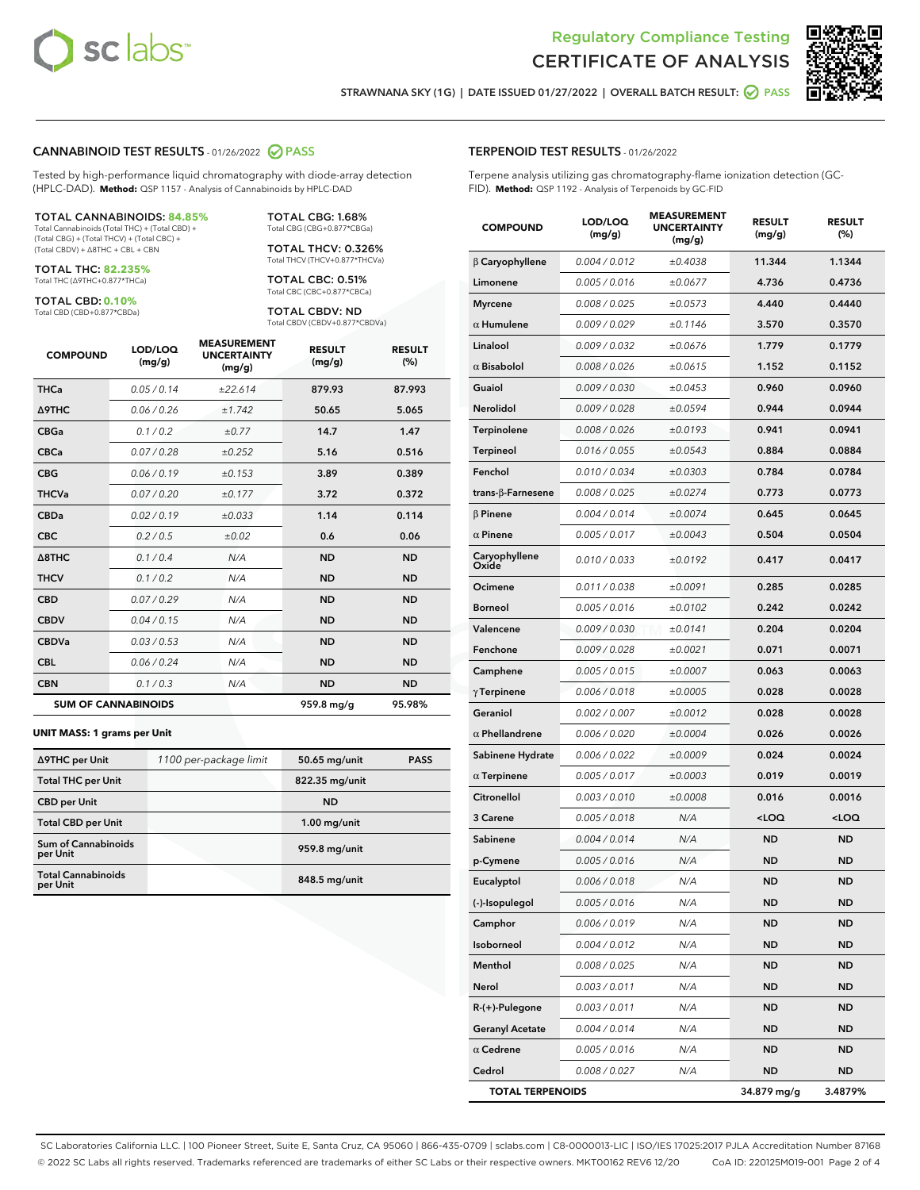



STRAWNANA SKY (1G) | DATE ISSUED 01/27/2022 | OVERALL BATCH RESULT: **O PASS** 

#### CANNABINOID TEST RESULTS - 01/26/2022 2 PASS

Tested by high-performance liquid chromatography with diode-array detection (HPLC-DAD). **Method:** QSP 1157 - Analysis of Cannabinoids by HPLC-DAD

#### TOTAL CANNABINOIDS: **84.85%**

Total Cannabinoids (Total THC) + (Total CBD) + (Total CBG) + (Total THCV) + (Total CBC) + (Total CBDV) + ∆8THC + CBL + CBN

TOTAL THC: **82.235%** Total THC (∆9THC+0.877\*THCa)

TOTAL CBD: **0.10%**

Total CBD (CBD+0.877\*CBDa)

TOTAL CBG: 1.68% Total CBG (CBG+0.877\*CBGa)

TOTAL THCV: 0.326% Total THCV (THCV+0.877\*THCVa)

TOTAL CBC: 0.51% Total CBC (CBC+0.877\*CBCa)

TOTAL CBDV: ND Total CBDV (CBDV+0.877\*CBDVa)

| <b>COMPOUND</b>            | LOD/LOQ<br>(mg/g) | <b>MEASUREMENT</b><br><b>UNCERTAINTY</b><br>(mg/g) | <b>RESULT</b><br>(mg/g) | <b>RESULT</b><br>$(\%)$ |
|----------------------------|-------------------|----------------------------------------------------|-------------------------|-------------------------|
| <b>THCa</b>                | 0.05/0.14         | ±22.614                                            | 879.93                  | 87.993                  |
| <b>A9THC</b>               | 0.06 / 0.26       | ±1.742                                             | 50.65                   | 5.065                   |
| <b>CBGa</b>                | 0.1/0.2           | ±0.77                                              | 14.7                    | 1.47                    |
| <b>CBCa</b>                | 0.07 / 0.28       | ±0.252                                             | 5.16                    | 0.516                   |
| <b>CBG</b>                 | 0.06/0.19         | ±0.153                                             | 3.89                    | 0.389                   |
| <b>THCVa</b>               | 0.07/0.20         | ±0.177                                             | 3.72                    | 0.372                   |
| <b>CBDa</b>                | 0.02/0.19         | ±0.033                                             | 1.14                    | 0.114                   |
| <b>CBC</b>                 | 0.2 / 0.5         | ±0.02                                              | 0.6                     | 0.06                    |
| A8THC                      | 0.1/0.4           | N/A                                                | <b>ND</b>               | <b>ND</b>               |
| <b>THCV</b>                | 0.1/0.2           | N/A                                                | <b>ND</b>               | <b>ND</b>               |
| <b>CBD</b>                 | 0.07/0.29         | N/A                                                | <b>ND</b>               | <b>ND</b>               |
| <b>CBDV</b>                | 0.04 / 0.15       | N/A                                                | <b>ND</b>               | <b>ND</b>               |
| <b>CBDVa</b>               | 0.03/0.53         | N/A                                                | <b>ND</b>               | <b>ND</b>               |
| <b>CBL</b>                 | 0.06 / 0.24       | N/A                                                | <b>ND</b>               | <b>ND</b>               |
| <b>CBN</b>                 | 0.1/0.3           | N/A                                                | <b>ND</b>               | <b>ND</b>               |
| <b>SUM OF CANNABINOIDS</b> |                   |                                                    | 959.8 mg/g              | 95.98%                  |

#### **UNIT MASS: 1 grams per Unit**

| ∆9THC per Unit                        | 1100 per-package limit | 50.65 mg/unit  | <b>PASS</b> |
|---------------------------------------|------------------------|----------------|-------------|
| <b>Total THC per Unit</b>             |                        | 822.35 mg/unit |             |
| <b>CBD</b> per Unit                   |                        | <b>ND</b>      |             |
| <b>Total CBD per Unit</b>             |                        | $1.00$ mg/unit |             |
| Sum of Cannabinoids<br>per Unit       |                        | 959.8 mg/unit  |             |
| <b>Total Cannabinoids</b><br>per Unit |                        | 848.5 mg/unit  |             |

#### TERPENOID TEST RESULTS - 01/26/2022

Terpene analysis utilizing gas chromatography-flame ionization detection (GC-FID). **Method:** QSP 1192 - Analysis of Terpenoids by GC-FID

| <b>COMPOUND</b>         | LOD/LOQ<br>(mg/g) | <b>MEASUREMENT</b><br><b>UNCERTAINTY</b><br>(mg/g) | <b>RESULT</b><br>(mg/g)                         | <b>RESULT</b><br>(%) |
|-------------------------|-------------------|----------------------------------------------------|-------------------------------------------------|----------------------|
| $\beta$ Caryophyllene   | 0.004 / 0.012     | ±0.4038                                            | 11.344                                          | 1.1344               |
| Limonene                | 0.005 / 0.016     | ±0.0677                                            | 4.736                                           | 0.4736               |
| <b>Myrcene</b>          | 0.008 / 0.025     | ±0.0573                                            | 4.440                                           | 0.4440               |
| $\alpha$ Humulene       | 0.009 / 0.029     | ±0.1146                                            | 3.570                                           | 0.3570               |
| Linalool                | 0.009 / 0.032     | ±0.0676                                            | 1.779                                           | 0.1779               |
| $\alpha$ Bisabolol      | 0.008 / 0.026     | ±0.0615                                            | 1.152                                           | 0.1152               |
| Guaiol                  | 0.009 / 0.030     | ±0.0453                                            | 0.960                                           | 0.0960               |
| Nerolidol               | 0.009 / 0.028     | ±0.0594                                            | 0.944                                           | 0.0944               |
| Terpinolene             | 0.008 / 0.026     | ±0.0193                                            | 0.941                                           | 0.0941               |
| <b>Terpineol</b>        | 0.016 / 0.055     | ±0.0543                                            | 0.884                                           | 0.0884               |
| Fenchol                 | 0.010 / 0.034     | ±0.0303                                            | 0.784                                           | 0.0784               |
| trans-β-Farnesene       | 0.008 / 0.025     | ±0.0274                                            | 0.773                                           | 0.0773               |
| <b>B</b> Pinene         | 0.004 / 0.014     | ±0.0074                                            | 0.645                                           | 0.0645               |
| $\alpha$ Pinene         | 0.005 / 0.017     | ±0.0043                                            | 0.504                                           | 0.0504               |
| Caryophyllene<br>Oxide  | 0.010 / 0.033     | ±0.0192                                            | 0.417                                           | 0.0417               |
| Ocimene                 | 0.011 / 0.038     | ±0.0091                                            | 0.285                                           | 0.0285               |
| <b>Borneol</b>          | 0.005 / 0.016     | ±0.0102                                            | 0.242                                           | 0.0242               |
| Valencene               | 0.009 / 0.030     | ±0.0141                                            | 0.204                                           | 0.0204               |
| Fenchone                | 0.009 / 0.028     | ±0.0021                                            | 0.071                                           | 0.0071               |
| Camphene                | 0.005 / 0.015     | ±0.0007                                            | 0.063                                           | 0.0063               |
| $\gamma$ Terpinene      | 0.006 / 0.018     | ±0.0005                                            | 0.028                                           | 0.0028               |
| Geraniol                | 0.002 / 0.007     | ±0.0012                                            | 0.028                                           | 0.0028               |
| $\alpha$ Phellandrene   | 0.006 / 0.020     | ±0.0004                                            | 0.026                                           | 0.0026               |
| Sabinene Hydrate        | 0.006 / 0.022     | ±0.0009                                            | 0.024                                           | 0.0024               |
| $\alpha$ Terpinene      | 0.005 / 0.017     | ±0.0003                                            | 0.019                                           | 0.0019               |
| Citronellol             | 0.003 / 0.010     | ±0.0008                                            | 0.016                                           | 0.0016               |
| 3 Carene                | 0.005 / 0.018     | N/A                                                | <loq< th=""><th><loq< th=""></loq<></th></loq<> | <loq< th=""></loq<>  |
| Sabinene                | 0.004 / 0.014     | N/A                                                | <b>ND</b>                                       | <b>ND</b>            |
| p-Cymene                | 0.005 / 0.016     | N/A                                                | ND                                              | ND                   |
| Eucalyptol              | 0.006 / 0.018     | N/A                                                | <b>ND</b>                                       | <b>ND</b>            |
| (-)-Isopulegol          | 0.005 / 0.016     | N/A                                                | ND                                              | ND                   |
| Camphor                 | 0.006 / 0.019     | N/A                                                | ND                                              | ND                   |
| Isoborneol              | 0.004 / 0.012     | N/A                                                | <b>ND</b>                                       | <b>ND</b>            |
| Menthol                 | 0.008 / 0.025     | N/A                                                | ND                                              | ND                   |
| Nerol                   | 0.003 / 0.011     | N/A                                                | ND                                              | ND                   |
| R-(+)-Pulegone          | 0.003 / 0.011     | N/A                                                | <b>ND</b>                                       | ND                   |
| <b>Geranyl Acetate</b>  | 0.004 / 0.014     | N/A                                                | ND                                              | ND                   |
| $\alpha$ Cedrene        | 0.005 / 0.016     | N/A                                                | ND                                              | ND                   |
| Cedrol                  | 0.008 / 0.027     | N/A                                                | <b>ND</b>                                       | ND                   |
| <b>TOTAL TERPENOIDS</b> |                   |                                                    | 34.879 mg/g                                     | 3.4879%              |

SC Laboratories California LLC. | 100 Pioneer Street, Suite E, Santa Cruz, CA 95060 | 866-435-0709 | sclabs.com | C8-0000013-LIC | ISO/IES 17025:2017 PJLA Accreditation Number 87168 © 2022 SC Labs all rights reserved. Trademarks referenced are trademarks of either SC Labs or their respective owners. MKT00162 REV6 12/20 CoA ID: 220125M019-001 Page 2 of 4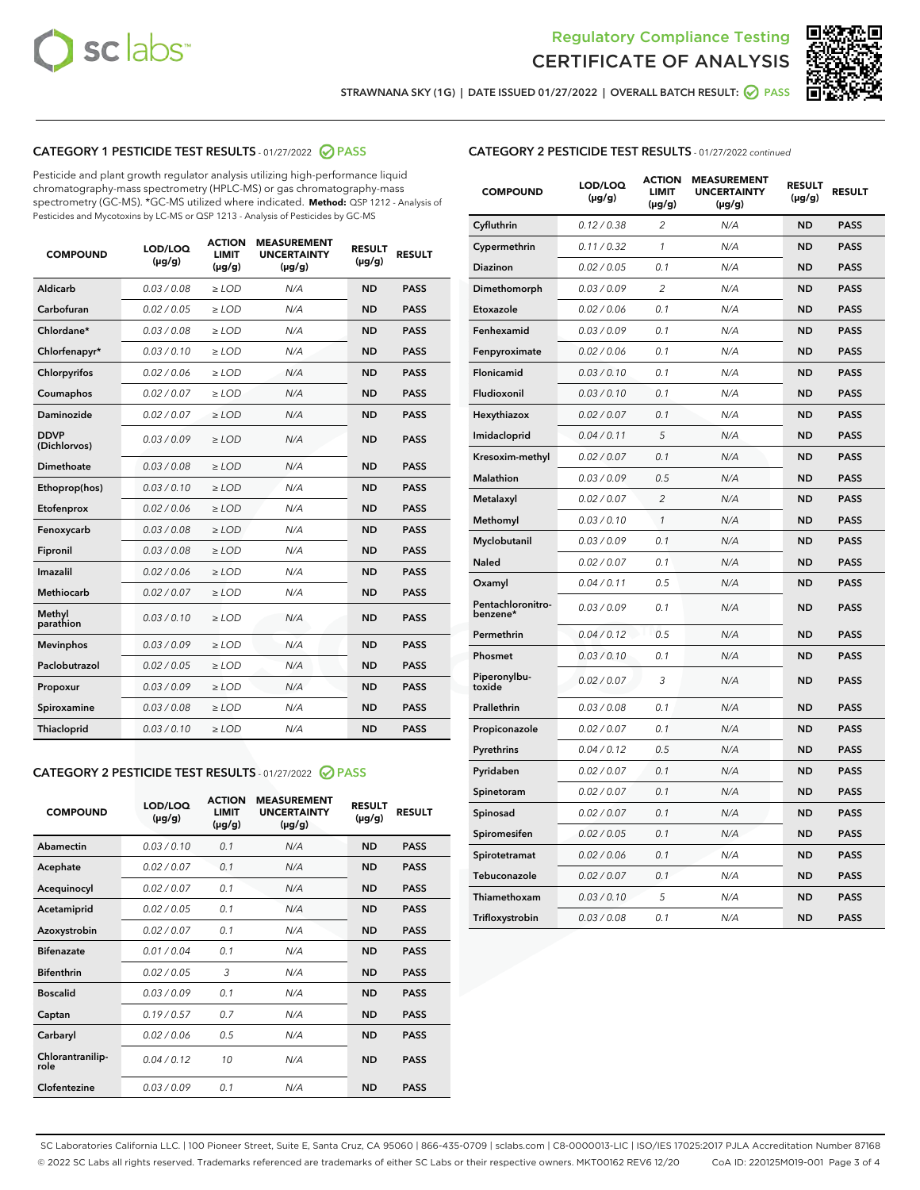



STRAWNANA SKY (1G) | DATE ISSUED 01/27/2022 | OVERALL BATCH RESULT:  $\bigcirc$  PASS

# CATEGORY 1 PESTICIDE TEST RESULTS - 01/27/2022 2 PASS

Pesticide and plant growth regulator analysis utilizing high-performance liquid chromatography-mass spectrometry (HPLC-MS) or gas chromatography-mass spectrometry (GC-MS). \*GC-MS utilized where indicated. **Method:** QSP 1212 - Analysis of Pesticides and Mycotoxins by LC-MS or QSP 1213 - Analysis of Pesticides by GC-MS

| <b>COMPOUND</b>             | LOD/LOQ<br>$(\mu g/g)$ | <b>ACTION</b><br><b>LIMIT</b><br>$(\mu g/g)$ | <b>MEASUREMENT</b><br><b>UNCERTAINTY</b><br>$(\mu g/g)$ | <b>RESULT</b><br>$(\mu g/g)$ | <b>RESULT</b> |
|-----------------------------|------------------------|----------------------------------------------|---------------------------------------------------------|------------------------------|---------------|
| Aldicarb                    | 0.03 / 0.08            | $\ge$ LOD                                    | N/A                                                     | <b>ND</b>                    | <b>PASS</b>   |
| Carbofuran                  | 0.02 / 0.05            | $\ge$ LOD                                    | N/A                                                     | <b>ND</b>                    | <b>PASS</b>   |
| Chlordane*                  | 0.03 / 0.08            | $\ge$ LOD                                    | N/A                                                     | <b>ND</b>                    | <b>PASS</b>   |
| Chlorfenapyr*               | 0.03/0.10              | $\ge$ LOD                                    | N/A                                                     | <b>ND</b>                    | <b>PASS</b>   |
| Chlorpyrifos                | 0.02 / 0.06            | $\ge$ LOD                                    | N/A                                                     | <b>ND</b>                    | <b>PASS</b>   |
| Coumaphos                   | 0.02 / 0.07            | $\ge$ LOD                                    | N/A                                                     | <b>ND</b>                    | <b>PASS</b>   |
| Daminozide                  | 0.02 / 0.07            | $\ge$ LOD                                    | N/A                                                     | <b>ND</b>                    | <b>PASS</b>   |
| <b>DDVP</b><br>(Dichlorvos) | 0.03/0.09              | $\ge$ LOD                                    | N/A                                                     | <b>ND</b>                    | <b>PASS</b>   |
| Dimethoate                  | 0.03 / 0.08            | $>$ LOD                                      | N/A                                                     | <b>ND</b>                    | <b>PASS</b>   |
| Ethoprop(hos)               | 0.03/0.10              | $\ge$ LOD                                    | N/A                                                     | <b>ND</b>                    | <b>PASS</b>   |
| Etofenprox                  | 0.02/0.06              | $>$ LOD                                      | N/A                                                     | <b>ND</b>                    | <b>PASS</b>   |
| Fenoxycarb                  | 0.03 / 0.08            | $\geq$ LOD                                   | N/A                                                     | <b>ND</b>                    | <b>PASS</b>   |
| Fipronil                    | 0.03 / 0.08            | $>$ LOD                                      | N/A                                                     | <b>ND</b>                    | <b>PASS</b>   |
| Imazalil                    | 0.02 / 0.06            | $\ge$ LOD                                    | N/A                                                     | <b>ND</b>                    | <b>PASS</b>   |
| <b>Methiocarb</b>           | 0.02 / 0.07            | $\ge$ LOD                                    | N/A                                                     | <b>ND</b>                    | <b>PASS</b>   |
| Methyl<br>parathion         | 0.03/0.10              | $\ge$ LOD                                    | N/A                                                     | <b>ND</b>                    | <b>PASS</b>   |
| <b>Mevinphos</b>            | 0.03/0.09              | $\ge$ LOD                                    | N/A                                                     | <b>ND</b>                    | <b>PASS</b>   |
| Paclobutrazol               | 0.02 / 0.05            | $\ge$ LOD                                    | N/A                                                     | <b>ND</b>                    | <b>PASS</b>   |
| Propoxur                    | 0.03/0.09              | $\ge$ LOD                                    | N/A                                                     | <b>ND</b>                    | <b>PASS</b>   |
| Spiroxamine                 | 0.03 / 0.08            | $\ge$ LOD                                    | N/A                                                     | <b>ND</b>                    | <b>PASS</b>   |
| <b>Thiacloprid</b>          | 0.03/0.10              | $\ge$ LOD                                    | N/A                                                     | <b>ND</b>                    | <b>PASS</b>   |

#### CATEGORY 2 PESTICIDE TEST RESULTS - 01/27/2022 2 PASS

| <b>COMPOUND</b>          | LOD/LOQ<br>$(\mu g/g)$ | <b>ACTION</b><br>LIMIT<br>$(\mu g/g)$ | <b>MEASUREMENT</b><br><b>UNCERTAINTY</b><br>$(\mu g/g)$ | <b>RESULT</b><br>$(\mu g/g)$ | <b>RESULT</b> |
|--------------------------|------------------------|---------------------------------------|---------------------------------------------------------|------------------------------|---------------|
| Abamectin                | 0.03/0.10              | 0.1                                   | N/A                                                     | <b>ND</b>                    | <b>PASS</b>   |
| Acephate                 | 0.02/0.07              | 0.1                                   | N/A                                                     | <b>ND</b>                    | <b>PASS</b>   |
| Acequinocyl              | 0.02/0.07              | 0.1                                   | N/A                                                     | <b>ND</b>                    | <b>PASS</b>   |
| Acetamiprid              | 0.02/0.05              | 0.1                                   | N/A                                                     | <b>ND</b>                    | <b>PASS</b>   |
| Azoxystrobin             | 0.02/0.07              | 0.1                                   | N/A                                                     | <b>ND</b>                    | <b>PASS</b>   |
| <b>Bifenazate</b>        | 0.01 / 0.04            | 0.1                                   | N/A                                                     | <b>ND</b>                    | <b>PASS</b>   |
| <b>Bifenthrin</b>        | 0.02/0.05              | 3                                     | N/A                                                     | <b>ND</b>                    | <b>PASS</b>   |
| <b>Boscalid</b>          | 0.03/0.09              | 0.1                                   | N/A                                                     | <b>ND</b>                    | <b>PASS</b>   |
| Captan                   | 0.19/0.57              | 0.7                                   | N/A                                                     | <b>ND</b>                    | <b>PASS</b>   |
| Carbaryl                 | 0.02/0.06              | 0.5                                   | N/A                                                     | <b>ND</b>                    | <b>PASS</b>   |
| Chlorantranilip-<br>role | 0.04/0.12              | 10                                    | N/A                                                     | <b>ND</b>                    | <b>PASS</b>   |
| Clofentezine             | 0.03/0.09              | 0.1                                   | N/A                                                     | <b>ND</b>                    | <b>PASS</b>   |

| <b>COMPOUND</b>               | LOD/LOQ<br>(µg/g) | <b>ACTION</b><br><b>LIMIT</b><br>(µg/g) | <b>MEASUREMENT</b><br><b>UNCERTAINTY</b><br>$(\mu g/g)$ | <b>RESULT</b><br>(µg/g) | <b>RESULT</b> |
|-------------------------------|-------------------|-----------------------------------------|---------------------------------------------------------|-------------------------|---------------|
| Cyfluthrin                    | 0.12 / 0.38       | $\overline{c}$                          | N/A                                                     | <b>ND</b>               | <b>PASS</b>   |
| Cypermethrin                  | 0.11 / 0.32       | 1                                       | N/A                                                     | <b>ND</b>               | <b>PASS</b>   |
| <b>Diazinon</b>               | 0.02 / 0.05       | 0.1                                     | N/A                                                     | <b>ND</b>               | <b>PASS</b>   |
| Dimethomorph                  | 0.03 / 0.09       | 2                                       | N/A                                                     | <b>ND</b>               | <b>PASS</b>   |
| Etoxazole                     | 0.02 / 0.06       | 0.1                                     | N/A                                                     | <b>ND</b>               | <b>PASS</b>   |
| Fenhexamid                    | 0.03 / 0.09       | 0.1                                     | N/A                                                     | <b>ND</b>               | <b>PASS</b>   |
| Fenpyroximate                 | 0.02 / 0.06       | 0.1                                     | N/A                                                     | <b>ND</b>               | <b>PASS</b>   |
| Flonicamid                    | 0.03 / 0.10       | 0.1                                     | N/A                                                     | <b>ND</b>               | <b>PASS</b>   |
| Fludioxonil                   | 0.03 / 0.10       | 0.1                                     | N/A                                                     | <b>ND</b>               | <b>PASS</b>   |
| Hexythiazox                   | 0.02 / 0.07       | 0.1                                     | N/A                                                     | <b>ND</b>               | <b>PASS</b>   |
| Imidacloprid                  | 0.04 / 0.11       | 5                                       | N/A                                                     | <b>ND</b>               | <b>PASS</b>   |
| Kresoxim-methyl               | 0.02 / 0.07       | 0.1                                     | N/A                                                     | <b>ND</b>               | <b>PASS</b>   |
| Malathion                     | 0.03 / 0.09       | 0.5                                     | N/A                                                     | <b>ND</b>               | <b>PASS</b>   |
| Metalaxyl                     | 0.02 / 0.07       | $\overline{c}$                          | N/A                                                     | <b>ND</b>               | <b>PASS</b>   |
| Methomyl                      | 0.03 / 0.10       | $\mathcal{I}$                           | N/A                                                     | <b>ND</b>               | <b>PASS</b>   |
| Myclobutanil                  | 0.03 / 0.09       | 0.1                                     | N/A                                                     | <b>ND</b>               | <b>PASS</b>   |
| <b>Naled</b>                  | 0.02 / 0.07       | 0.1                                     | N/A                                                     | <b>ND</b>               | <b>PASS</b>   |
| Oxamyl                        | 0.04 / 0.11       | 0.5                                     | N/A                                                     | <b>ND</b>               | <b>PASS</b>   |
| Pentachloronitro-<br>benzene* | 0.03/0.09         | 0.1                                     | N/A                                                     | <b>ND</b>               | <b>PASS</b>   |
| Permethrin                    | 0.04 / 0.12       | 0.5                                     | N/A                                                     | <b>ND</b>               | <b>PASS</b>   |
| Phosmet                       | 0.03 / 0.10       | 0.1                                     | N/A                                                     | <b>ND</b>               | <b>PASS</b>   |
| Piperonylbu-<br>toxide        | 0.02 / 0.07       | 3                                       | N/A                                                     | <b>ND</b>               | <b>PASS</b>   |
| Prallethrin                   | 0.03 / 0.08       | 0.1                                     | N/A                                                     | <b>ND</b>               | <b>PASS</b>   |
| Propiconazole                 | 0.02 / 0.07       | 0.1                                     | N/A                                                     | <b>ND</b>               | <b>PASS</b>   |
| Pyrethrins                    | 0.04 / 0.12       | 0.5                                     | N/A                                                     | <b>ND</b>               | <b>PASS</b>   |
| Pyridaben                     | 0.02 / 0.07       | 0.1                                     | N/A                                                     | <b>ND</b>               | <b>PASS</b>   |
| Spinetoram                    | 0.02 / 0.07       | 0.1                                     | N/A                                                     | <b>ND</b>               | <b>PASS</b>   |
| Spinosad                      | 0.02 / 0.07       | 0.1                                     | N/A                                                     | <b>ND</b>               | <b>PASS</b>   |
| Spiromesifen                  | 0.02 / 0.05       | 0.1                                     | N/A                                                     | <b>ND</b>               | <b>PASS</b>   |
| Spirotetramat                 | 0.02 / 0.06       | 0.1                                     | N/A                                                     | ND                      | <b>PASS</b>   |
| Tebuconazole                  | 0.02 / 0.07       | 0.1                                     | N/A                                                     | <b>ND</b>               | <b>PASS</b>   |
| Thiamethoxam                  | 0.03 / 0.10       | 5                                       | N/A                                                     | <b>ND</b>               | <b>PASS</b>   |
| Trifloxystrobin               | 0.03 / 0.08       | 0.1                                     | N/A                                                     | <b>ND</b>               | <b>PASS</b>   |

SC Laboratories California LLC. | 100 Pioneer Street, Suite E, Santa Cruz, CA 95060 | 866-435-0709 | sclabs.com | C8-0000013-LIC | ISO/IES 17025:2017 PJLA Accreditation Number 87168 © 2022 SC Labs all rights reserved. Trademarks referenced are trademarks of either SC Labs or their respective owners. MKT00162 REV6 12/20 CoA ID: 220125M019-001 Page 3 of 4